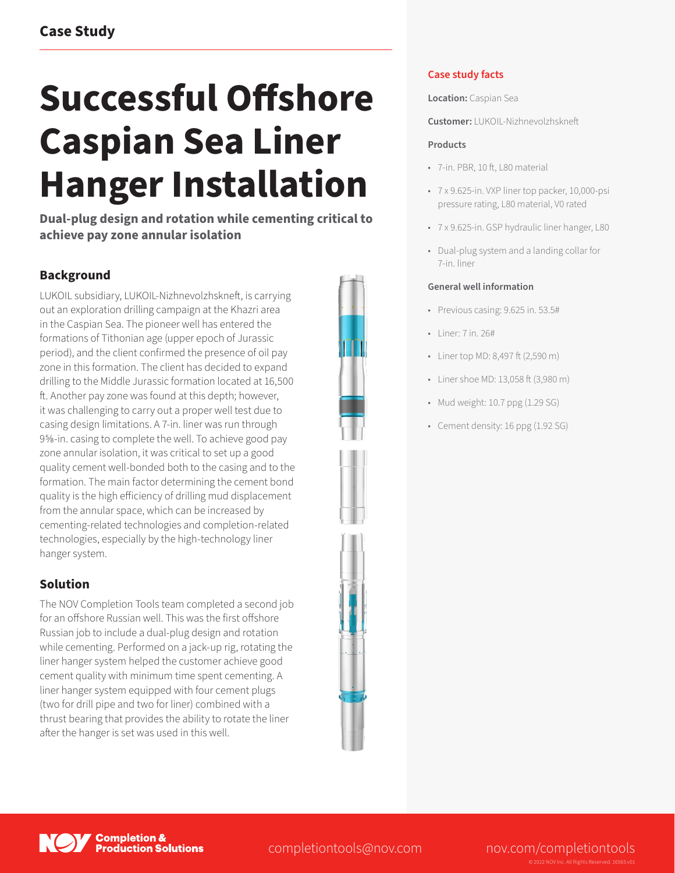# **Successful Offshore Caspian Sea Liner Hanger Installation**

**Dual-plug design and rotation while cementing critical to achieve pay zone annular isolation**

# **Background**

LUKOIL subsidiary, LUKOIL-Nizhnevolzhskneft, is carrying out an exploration drilling campaign at the Khazri area in the Caspian Sea. The pioneer well has entered the formations of Tithonian age (upper epoch of Jurassic period), and the client confirmed the presence of oil pay zone in this formation. The client has decided to expand drilling to the Middle Jurassic formation located at 16,500 ft. Another pay zone was found at this depth; however, it was challenging to carry out a proper well test due to casing design limitations. A 7-in. liner was run through 9⅝-in. casing to complete the well. To achieve good pay zone annular isolation, it was critical to set up a good quality cement well-bonded both to the casing and to the formation. The main factor determining the cement bond quality is the high efficiency of drilling mud displacement from the annular space, which can be increased by cementing-related technologies and completion-related technologies, especially by the high-technology liner hanger system.

## **Solution**

The NOV Completion Tools team completed a second job for an offshore Russian well. This was the first offshore Russian job to include a dual-plug design and rotation while cementing. Performed on a jack-up rig, rotating the liner hanger system helped the customer achieve good cement quality with minimum time spent cementing. A liner hanger system equipped with four cement plugs (two for drill pipe and two for liner) combined with a thrust bearing that provides the ability to rotate the liner after the hanger is set was used in this well.



## **Case study facts**

**Location:** Caspian Sea

**Customer:** LUKOIL-Nizhnevolzhskneft

### **Products**

- 7-in. PBR, 10 ft, L80 material
- 7 x 9.625-in. VXP liner top packer, 10,000-psi pressure rating, L80 material, V0 rated
- 7 x 9.625-in. GSP hydraulic liner hanger, L80
- Dual-plug system and a landing collar for 7-in. liner

#### **General well information**

- Previous casing: 9.625 in. 53.5#
- Liner: 7 in. 26#
- Liner top MD: 8,497 ft (2,590 m)
- Liner shoe MD: 13,058 ft (3,980 m)
- Mud weight: 10.7 ppg (1.29 SG)
- Cement density: 16 ppg (1.92 SG)



completiontools@nov.com nov.com/completiontools